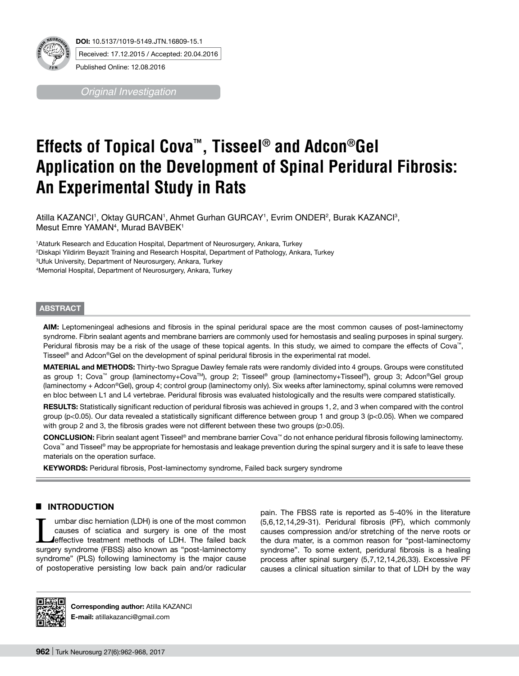

*Original Investigation*

# **Effects of Topical Cova™, Tisseel® and Adcon®Gel Application on the Development of Spinal Peridural Fibrosis: An Experimental Study in Rats**

Atilla KAZANCI', Oktay GURCAN', Ahmet Gurhan GURCAY', Evrim ONDER<del>'</del>, Burak KAZANCI<sup>3</sup>, Mesut Emre YAMAN<sup>4</sup>, Murad BAVBEK<sup>1</sup>

 Ataturk Research and Education Hospital, Department of Neurosurgery, Ankara, Turkey Diskapi Yildirim Beyazit Training and Research Hospital, Department of Pathology, Ankara, Turkey Ufuk University, Department of Neurosurgery, Ankara, Turkey Memorial Hospital, Department of Neurosurgery, Ankara, Turkey

#### **ABSTRACT**

**AIm:** Leptomeningeal adhesions and fibrosis in the spinal peridural space are the most common causes of post-laminectomy syndrome. Fibrin sealant agents and membrane barriers are commonly used for hemostasis and sealing purposes in spinal surgery. Peridural fibrosis may be a risk of the usage of these topical agents. In this study, we aimed to compare the effects of Cova™, Tisseel® and Adcon®Gel on the development of spinal peridural fibrosis in the experimental rat model.

**MATERIAL and METHODS:** Thirty-two Sprague Dawley female rats were randomly divided into 4 groups. Groups were constituted as group 1; Cova™ group (laminectomy+CovaTM), group 2; Tisseel® group (laminectomy+Tisseel®), group 3; Adcon®Gel group (laminectomy + Adcon®Gel), group 4; control group (laminectomy only). Six weeks after laminectomy, spinal columns were removed en bloc between L1 and L4 vertebrae. Peridural fibrosis was evaluated histologically and the results were compared statistically.

RESULTS: Statistically significant reduction of peridural fibrosis was achieved in groups 1, 2, and 3 when compared with the control group (p<0.05). Our data revealed a statistically significant difference between group 1 and group 3 (p<0.05). When we compared with group 2 and 3, the fibrosis grades were not different between these two groups (p>0.05).

**ConclusIon:** Fibrin sealant agent Tisseel® and membrane barrier Cova™ do not enhance peridural fibrosis following laminectomy. Cova™ and Tisseel® may be appropriate for hemostasis and leakage prevention during the spinal surgery and it is safe to leave these materials on the operation surface.

**KEYWORDS:** Peridural fibrosis, Post-laminectomy syndrome, Failed back surgery syndrome

## █ **INTRODUCTION**

umbar disc herniation (LDH) is one of the most common causes of sciatica and surgery is one of the most effective treatment methods of LDH. The failed back surgery syndrome (FBSS) also known as "post-laminectomy syndrome" (PLS) following laminectomy is the major cause of postoperative persisting low back pain and/or radicular

pain. The FBSS rate is reported as 5-40% in the literature (5,6,12,14,29-31). Peridural fibrosis (PF), which commonly causes compression and/or stretching of the nerve roots or the dura mater, is a common reason for "post-laminectomy syndrome". To some extent, peridural fibrosis is a healing process after spinal surgery (5,7,12,14,26,33). Excessive PF causes a clinical situation similar to that of LDH by the way



**Corresponding author:** Atilla KAZANCI **E-mail:** atillakazanci@gmail.com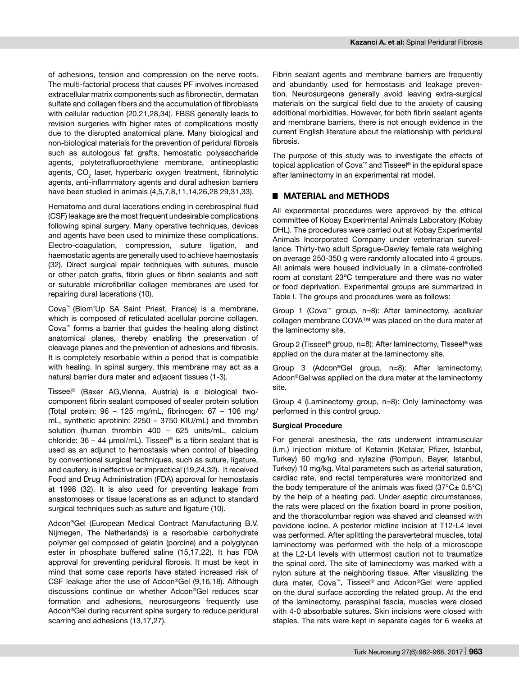of adhesions, tension and compression on the nerve roots. The multi-factorial process that causes PF involves increased extracellular matrix components such as fibronectin, dermatan sulfate and collagen fibers and the accumulation of fibroblasts with cellular reduction (20,21,28,34). FBSS generally leads to revision surgeries with higher rates of complications mostly due to the disrupted anatomical plane. Many biological and non-biological materials for the prevention of peridural fibrosis such as autologous fat grafts, hemostatic polysaccharide agents, polytetrafluoroethylene membrane, antineoplastic agents, CO<sub>2</sub> laser, hyperbaric oxygen treatment, fibrinolytic agents, anti-inflammatory agents and dural adhesion barriers have been studied in animals (4,5,7,8,11,14,26,28 29,31,33).

Hematoma and dural lacerations ending in cerebrospinal fluid (CSF) leakage are the most frequent undesirable complications following spinal surgery. Many operative techniques, devices and agents have been used to minimize these complications. Electro-coagulation, compression, suture ligation, and haemostatic agents are generally used to achieve haemostasis (32). Direct surgical repair techniques with sutures, muscle or other patch grafts, fibrin glues or fibrin sealants and soft or suturable microfibrillar collagen membranes are used for repairing dural lacerations (10).

Cova™ (Biom'Up SA Saint Priest, France) is a membrane, which is composed of reticulated acellular porcine collagen. Cova™ forms a barrier that guides the healing along distinct anatomical planes, thereby enabling the preservation of cleavage planes and the prevention of adhesions and fibrosis. It is completely resorbable within a period that is compatible with healing. In spinal surgery, this membrane may act as a natural barrier dura mater and adjacent tissues (1-3).

Tisseel® (Baxer AG,Vienna, Austria) is a biological twocomponent fibrin sealant composed of sealer protein solution (Total protein: 96 – 125 mg/mL, fibrinogen: 67 – 106 mg/ mL, synthetic aprotinin: 2250 – 3750 KIU/mL) and thrombin solution (human thrombin 400 – 625 units/mL, calcium chloride:  $36 - 44$  µmol/mL). Tisseel® is a fibrin sealant that is used as an adjunct to hemostasis when control of bleeding by conventional surgical techniques, such as suture, ligature, and cautery, is ineffective or impractical (19,24,32). It received Food and Drug Administration (FDA) approval for hemostasis at 1998 (32). It is also used for preventing leakage from anastomoses or tissue lacerations as an adjunct to standard surgical techniques such as suture and ligature (10).

Adcon®Gel (European Medical Contract Manufacturing B.V. Nijmegen, The Netherlands) is a resorbable carbohydrate polymer gel composed of gelatin (porcine) and a polyglycan ester in phosphate buffered saline (15,17,22). It has FDA approval for preventing peridural fibrosis. It must be kept in mind that some case reports have stated increased risk of CSF leakage after the use of Adcon®Gel (9,16,18). Although discussions continue on whether Adcon®Gel reduces scar formation and adhesions, neurosurgeons frequently use Adcon®Gel during recurrent spine surgery to reduce peridural scarring and adhesions (13,17,27).

Fibrin sealant agents and membrane barriers are frequently and abundantly used for hemostasis and leakage prevention. Neurosurgeons generally avoid leaving extra-surgical materials on the surgical field due to the anxiety of causing additional morbidities. However, for both fibrin sealant agents and membrane barriers, there is not enough evidence in the current English literature about the relationship with peridural fibrosis.

The purpose of this study was to investigate the effects of topical application of Cova™ and Tisseel® in the epidural space after laminectomy in an experimental rat model.

# █ **MATERIAL and METHODS**

All experimental procedures were approved by the ethical committee of Kobay Experimental Animals Laboratory (Kobay DHL). The procedures were carried out at Kobay Experimental Animals Incorporated Company under veterinarian surveillance. Thirty-two adult Sprague-Dawley female rats weighing on average 250-350 g were randomly allocated into 4 groups. All animals were housed individually in a climate-controlled room at constant 23ºC temperature and there was no water or food deprivation. Experimental groups are summarized in Table I. The groups and procedures were as follows:

Group 1 (Cova™ group, n=8): After laminectomy, acellular collagen membrane COVA™ was placed on the dura mater at the laminectomy site.

Group 2 (Tisseel® group, n=8): After laminectomy, Tisseel® was applied on the dura mater at the laminectomy site.

Group 3 (Adcon®Gel group, n=8): After laminectomy, Adcon®Gel was applied on the dura mater at the laminectomy site.

Group 4 (Laminectomy group, n=8): Only laminectomy was performed in this control group.

### **Surgical Procedure**

For general anesthesia, the rats underwent intramuscular (i.m.) injection mixture of Ketamin (Ketalar, Pfizer, Istanbul, Turkey) 60 mg/kg and xylazine (Rompun, Bayer, Istanbul, Turkey) 10 mg/kg. Vital parameters such as arterial saturation, cardiac rate, and rectal temperatures were monitorized and the body temperature of the animals was fixed  $(37^{\circ}C \pm 0.5^{\circ}C)$ by the help of a heating pad. Under aseptic circumstances, the rats were placed on the fixation board in prone position, and the thoracolumbar region was shaved and cleansed with povidone iodine. A posterior midline incision at T12-L4 level was performed. After splitting the paravertebral muscles, total laminectomy was performed with the help of a microscope at the L2-L4 levels with uttermost caution not to traumatize the spinal cord. The site of laminectomy was marked with a nylon suture at the neighboring tissue. After visualizing the dura mater, Cova™, Tisseel® and Adcon®Gel were applied on the dural surface according the related group. At the end of the laminectomy, paraspinal fascia, muscles were closed with 4-0 absorbable sutures. Skin incisions were closed with staples. The rats were kept in separate cages for 6 weeks at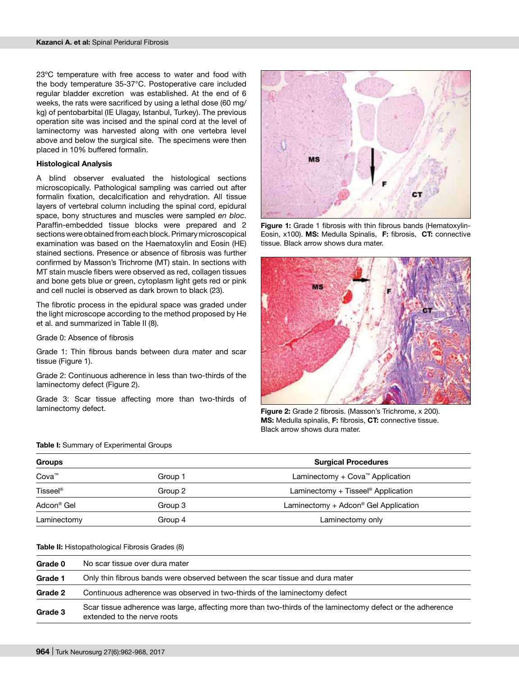23ºC temperature with free access to water and food with the body temperature 35-37°C. Postoperative care included regular bladder excretion was established. At the end of 6 weeks, the rats were sacrificed by using a lethal dose (60 mg/ kg) of pentobarbital (IE Ulagay, Istanbul, Turkey). The previous operation site was incised and the spinal cord at the level of laminectomy was harvested along with one vertebra level above and below the surgical site. The specimens were then placed in 10% buffered formalin.

#### **Histological Analysis**

A blind observer evaluated the histological sections microscopically. Pathological sampling was carried out after formalin fixation, decalcification and rehydration. All tissue layers of vertebral column including the spinal cord, epidural space, bony structures and muscles were sampled *en bloc*. Paraffin-embedded tissue blocks were prepared and 2 sections were obtained from each block. Primary microscopical examination was based on the Haematoxylin and Eosin (HE) stained sections. Presence or absence of fibrosis was further confirmed by Masson's Trichrome (MT) stain. In sections with MT stain muscle fibers were observed as red, collagen tissues and bone gets blue or green, cytoplasm light gets red or pink and cell nuclei is observed as dark brown to black (23).

The fibrotic process in the epidural space was graded under the light microscope according to the method proposed by He et al. and summarized in Table II (8).

Grade 0: Absence of fibrosis

Grade 1: Thin fibrous bands between dura mater and scar tissue (Figure 1).

Grade 2: Continuous adherence in less than two-thirds of the laminectomy defect (Figure 2).

Grade 3: Scar tissue affecting more than two-thirds of laminectomy defect.



**Figure 1:** Grade 1 fibrosis with thin fibrous bands (Hematoxylin-Eosin, x100). **MS:** Medulla Spinalis, **F:** fibrosis, **CT:** connective tissue. Black arrow shows dura mater.



**Figure 2:** Grade 2 fibrosis. (Masson's Trichrome, x 200). **MS:** Medulla spinalis, **F:** fibrosis, **CT:** connective tissue. Black arrow shows dura mater.

|  |  |  |  |  | Table I: Summary of Experimental Groups |  |  |
|--|--|--|--|--|-----------------------------------------|--|--|
|--|--|--|--|--|-----------------------------------------|--|--|

| Groups               |         | <b>Surgical Procedures</b>                                 |  |
|----------------------|---------|------------------------------------------------------------|--|
| Cova <sup>™</sup>    | Group 1 | Laminectomy $+$ Cova <sup><math>m</math></sup> Application |  |
| Tisseel <sup>®</sup> | Group 2 | Laminectomy + Tisseel <sup>®</sup> Application             |  |
| Adcon® Gel           | Group 3 | Laminectomy $+$ Adcon <sup>®</sup> Gel Application         |  |
| Laminectomy          | Group 4 | Laminectomy only                                           |  |

#### **Table II:** Histopathological Fibrosis Grades (8)

| Grade 0 | No scar tissue over dura mater                                                                                                            |  |  |  |  |
|---------|-------------------------------------------------------------------------------------------------------------------------------------------|--|--|--|--|
| Grade 1 | Only thin fibrous bands were observed between the scar tissue and dura mater                                                              |  |  |  |  |
| Grade 2 | Continuous adherence was observed in two-thirds of the laminectomy defect                                                                 |  |  |  |  |
| Grade 3 | Scar tissue adherence was large, affecting more than two-thirds of the laminectomy defect or the adherence<br>extended to the nerve roots |  |  |  |  |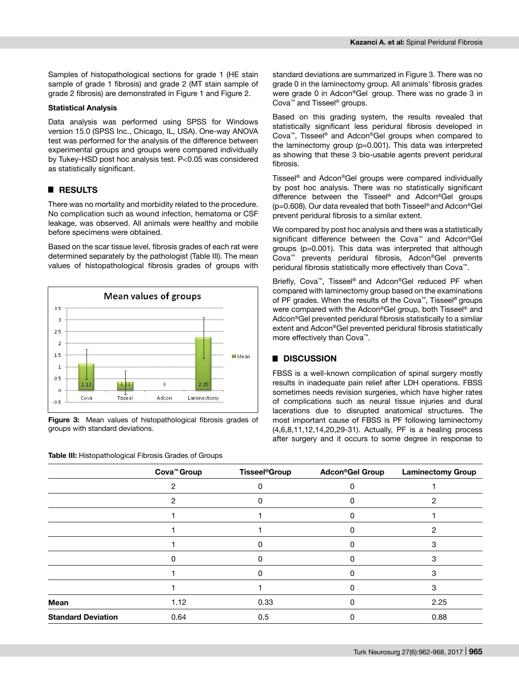Samples of histopathological sections for grade 1 (HE stain sample of grade 1 fibrosis) and grade 2 (MT stain sample of grade 2 fibrosis) are demonstrated in Figure 1 and Figure 2.

#### **Statistical Analysis**

Data analysis was performed using SPSS for Windows version 15.0 (SPSS Inc., Chicago, IL, USA). One-way ANOVA test was performed for the analysis of the difference between experimental groups and groups were compared individually by Tukey-HSD post hoc analysis test. P<0.05 was considered as statistically significant.

## █ **RESULTS**

There was no mortality and morbidity related to the procedure. No complication such as wound infection, hematoma or CSF leakage, was observed. All animals were healthy and mobile before specimens were obtained.

Based on the scar tissue level, fibrosis grades of each rat were determined separately by the pathologist (Table III). The mean values of histopathological fibrosis grades of groups with



**Figure 3:** Mean values of histopathological fibrosis grades of groups with standard deviations.

**Table III:** Histopathological Fibrosis Grades of Groups

standard deviations are summarized in Figure 3. There was no grade 0 in the laminectomy group. All animals' fibrosis grades were grade 0 in Adcon®Gel group. There was no grade 3 in Cova™ and Tisseel® groups.

Based on this grading system, the results revealed that statistically significant less peridural fibrosis developed in Cova™, Tisseel® and Adcon®Gel groups when compared to the laminectomy group (p=0.001). This data was interpreted as showing that these 3 bio-usable agents prevent peridural fibrosis.

Tisseel® and Adcon®Gel groups were compared individually by post hoc analysis. There was no statistically significant difference between the Tisseel® and Adcon®Gel groups (p=0.608). Our data revealed that both Tisseel® and Adcon®Gel prevent peridural fibrosis to a similar extent.

We compared by post hoc analysis and there was a statistically significant difference between the Cova™ and Adcon®Gel groups (p=0.001). This data was interpreted that although Cova™ prevents peridural fibrosis, Adcon®Gel prevents peridural fibrosis statistically more effectively than Cova™.

Briefly, Cova™, Tisseel® and Adcon®Gel reduced PF when compared with laminectomy group based on the examinations of PF grades. When the results of the Cova™, Tisseel® groups were compared with the Adcon®Gel group, both Tisseel® and Adcon®Gel prevented peridural fibrosis statistically to a similar extent and Adcon®Gel prevented peridural fibrosis statistically more effectively than Cova™.

## █ **DISCUSSION**

FBSS is a well-known complication of spinal surgery mostly results in inadequate pain relief after LDH operations. FBSS sometimes needs revision surgeries, which have higher rates of complications such as neural tissue injuries and dural lacerations due to disrupted anatomical structures. The most important cause of FBSS is PF following laminectomy (4,6,8,11,12,14,20,29-31). Actually, PF is a healing process after surgery and it occurs to some degree in response to

|                           | Cova <sup>™</sup> Group | <b>Tisseel<sup>®</sup>Group</b> | <b>Adcon®Gel Group</b> | <b>Laminectomy Group</b> |
|---------------------------|-------------------------|---------------------------------|------------------------|--------------------------|
|                           |                         |                                 |                        |                          |
|                           | 2                       |                                 |                        |                          |
|                           |                         |                                 |                        |                          |
|                           |                         |                                 |                        |                          |
|                           |                         |                                 |                        |                          |
|                           | n                       |                                 |                        |                          |
|                           |                         |                                 |                        |                          |
|                           |                         |                                 |                        | з                        |
| Mean                      | 1.12                    | 0.33                            |                        | 2.25                     |
| <b>Standard Deviation</b> | 0.64                    | 0.5                             |                        | 0.88                     |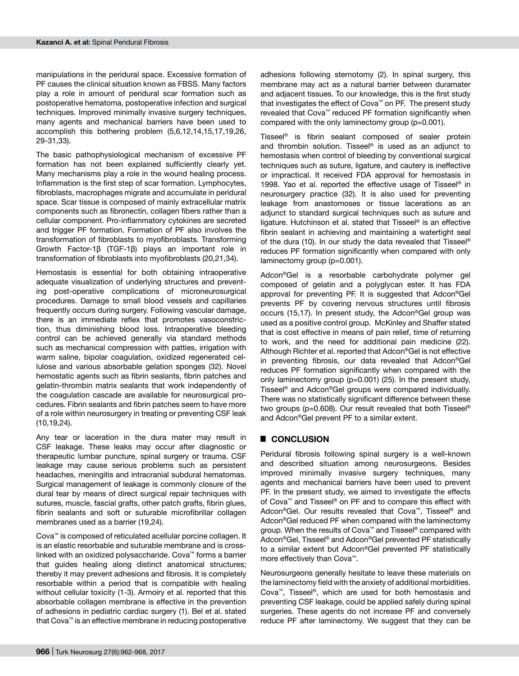manipulations in the peridural space. Excessive formation of PF causes the clinical situation known as FBSS. Many factors play a role in amount of peridural scar formation such as postoperative hematoma, postoperative infection and surgical techniques. Improved minimally invasive surgery techniques, many agents and mechanical barriers have been used to accomplish this bothering problem (5,6,12,14,15,17,19,26, 29-31,33).

The basic pathophysiological mechanism of excessive PF formation has not been explained sufficiently clearly yet. Many mechanisms play a role in the wound healing process. Inflammation is the first step of scar formation. Lymphocytes, fibroblasts, macrophages migrate and accumulate in peridural space. Scar tissue is composed of mainly extracellular matrix components such as fibronectin, collagen fibers rather than a cellular component. Pro-inflammatory cytokines are secreted and trigger PF formation. Formation of PF also involves the transformation of fibroblasts to myofibroblasts. Transforming Growth Factor-1β (TGF-1β) plays an important role in transformation of fibroblasts into myofibroblasts (20,21,34).

Hemostasis is essential for both obtaining intraoperative adequate visualization of underlying structures and preventing post-operative complications of microneurosurgical procedures. Damage to small blood vessels and capillaries frequently occurs during surgery. Following vascular damage, there is an immediate reflex that promotes vasoconstriction, thus diminishing blood loss. Intraoperative bleeding control can be achieved generally via standard methods such as mechanical compression with patties, irrigation with warm saline, bipolar coagulation, oxidized regenerated cellulose and various absorbable gelation sponges (32). Novel hemostatic agents such as fibrin sealants, fibrin patches and gelatin-thrombin matrix sealants that work independently of the coagulation cascade are available for neurosurgical procedures. Fibrin sealants and fibrin patches seem to have more of a role within neurosurgery in treating or preventing CSF leak (10,19,24).

Any tear or laceration in the dura mater may result in CSF leakage. These leaks may occur after diagnostic or therapeutic lumbar puncture, spinal surgery or trauma. CSF leakage may cause serious problems such as persistent headaches, meningitis and intracranial subdural hematomas. Surgical management of leakage is commonly closure of the dural tear by means of direct surgical repair techniques with sutures, muscle, fascial grafts, other patch grafts, fibrin glues, fibrin sealants and soft or suturable microfibrillar collagen membranes used as a barrier (19,24).

Cova™ is composed of reticulated acellular porcine collagen. It is an elastic resorbable and suturable membrane and is crosslinked with an oxidized polysaccharide. Cova™ forms a barrier that guides healing along distinct anatomical structures; thereby it may prevent adhesions and fibrosis. It is completely resorbable within a period that is compatible with healing without cellular toxicity (1-3). Armoiry et al. reported that this absorbable collagen membrane is effective in the prevention of adhesions in pediatric cardiac surgery (1). Bel et al. stated that Cova™ is an effective membrane in reducing postoperative adhesions following sternotomy (2). In spinal surgery, this membrane may act as a natural barrier between duramater and adjacent tissues. To our knowledge, this is the first study that investigates the effect of Cova™ on PF. The present study revealed that Cova™ reduced PF formation significantly when compared with the only laminectomy group (p=0.001).

Tisseel® is fibrin sealant composed of sealer protein and thrombin solution. Tisseel® is used as an adjunct to hemostasis when control of bleeding by conventional surgical techniques such as suture, ligature, and cautery is ineffective or impractical. It received FDA approval for hemostasis in 1998. Yao et al. reported the effective usage of Tisseel® in neurosurgery practice (32). It is also used for preventing leakage from anastomoses or tissue lacerations as an adjunct to standard surgical techniques such as suture and ligature. Hutchinson et al. stated that Tisseel® is an effective fibrin sealant in achieving and maintaining a watertight seal of the dura (10). In our study the data revealed that Tisseel® reduces PF formation significantly when compared with only laminectomy group (p=0.001).

Adcon®Gel is a resorbable carbohydrate polymer gel composed of gelatin and a polyglycan ester. It has FDA approval for preventing PF. It is suggested that Adcon®Gel prevents PF by covering nervous structures until fibrosis occurs (15,17). In present study, the Adcon®Gel group was used as a positive control group. McKinley and Shaffer stated that is cost effective in means of pain relief, time of returning to work, and the need for additional pain medicine (22). Although Richter et al. reported that Adcon®Gel is not effective in preventing fibrosis, our data revealed that Adcon®Gel reduces PF formation significantly when compared with the only laminectomy group (p=0.001) (25). In the present study, Tisseel® and Adcon®Gel groups were compared individually. There was no statistically significant difference between these two groups (p=0.608). Our result revealed that both Tisseel® and Adcon®Gel prevent PF to a similar extent.

## █ **CONCLUSION**

Peridural fibrosis following spinal surgery is a well-known and described situation among neurosurgeons. Besides improved minimally invasive surgery techniques, many agents and mechanical barriers have been used to prevent PF. In the present study, we aimed to investigate the effects of Cova™ and Tisseel® on PF and to compare this effect with Adcon®Gel. Our results revealed that Cova™, Tisseel® and Adcon®Gel reduced PF when compared with the laminectomy group. When the results of Cova™ and Tisseel® compared with Adcon®Gel, Tisseel® and Adcon®Gel prevented PF statistically to a similar extent but Adcon®Gel prevented PF statistically more effectively than Cova™.

Neurosurgeons generally hesitate to leave these materials on the laminectomy field with the anxiety of additional morbidities. Cova™, Tisseel®, which are used for both hemostasis and preventing CSF leakage, could be applied safely during spinal surgeries. These agents do not increase PF and conversely reduce PF after laminectomy. We suggest that they can be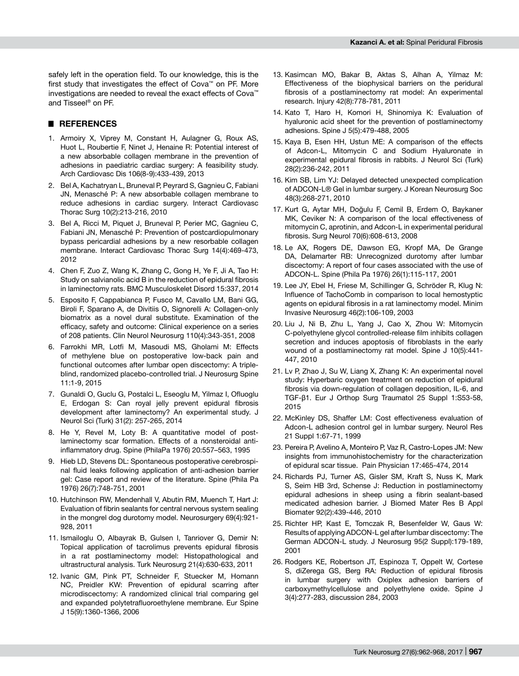safely left in the operation field. To our knowledge, this is the first study that investigates the effect of Cova™ on PF. More investigations are needed to reveal the exact effects of Cova™ and Tisseel® on PF.

## █ **REFERENCES**

- 1. Armoiry X, Viprey M, Constant H, Aulagner G, Roux AS, Huot L, Roubertie F, Ninet J, Henaine R: Potential interest of a new absorbable collagen membrane in the prevention of adhesions in paediatric cardiac surgery: A feasibility study. Arch Cardiovasc Dis 106(8-9):433-439, 2013
- 2. Bel A, Kachatryan L, Bruneval P, Peyrard S, Gagnieu C, Fabiani JN, Menasché P: A new absorbable collagen membrane to reduce adhesions in cardiac surgery. Interact Cardiovasc Thorac Surg 10(2):213-216, 2010
- 3. Bel A, Ricci M, Piquet J, Bruneval P, Perier MC, Gagnieu C, Fabiani JN, Menasché P: Prevention of postcardiopulmonary bypass pericardial adhesions by a new resorbable collagen membrane. Interact Cardiovasc Thorac Surg 14(4):469-473, 2012
- 4. Chen F, Zuo Z, Wang K, Zhang C, Gong H, Ye F, Ji A, Tao H: Study on salvianolic acid B in the reduction of epidural fibrosis in laminectomy rats. BMC Musculoskelet Disord 15:337, 2014
- 5. Esposito F, Cappabianca P, Fusco M, Cavallo LM, Bani GG, Biroli F, Sparano A, de Divitiis O, Signorelli A: Collagen-only biomatrix as a novel dural substitute. Examination of the efficacy, safety and outcome: Clinical experience on a series of 208 patients. Clin Neurol Neurosurg 110(4):343-351, 2008
- 6. Farrokhi MR, Lotfi M, Masoudi MS, Gholami M: Effects of methylene blue on postoperative low-back pain and functional outcomes after lumbar open discectomy: A tripleblind, randomized placebo-controlled trial. J Neurosurg Spine 11:1-9, 2015
- 7. Gunaldi O, Guclu G, Postalci L, Eseoglu M, Yilmaz I, Ofluoglu E, Erdogan S: Can royal jelly prevent epidural fibrosis development after laminectomy? An experimental study. J Neurol Sci (Turk) 31(2): 257-265, 2014
- 8. He Y, Revel M, Loty B: A quantitative model of postlaminectomy scar formation. Effects of a nonsteroidal antiinflammatory drug. Spine (PhilaPa 1976) 20:557–563, 1995
- 9. Hieb LD, Stevens DL: Spontaneous postoperative cerebrospinal fluid leaks following application of anti-adhesion barrier gel: Case report and review of the literature. Spine (Phila Pa 1976) 26(7):748-751, 2001
- 10. Hutchinson RW, Mendenhall V, Abutin RM, Muench T, Hart J: Evaluation of fibrin sealants for central nervous system sealing in the mongrel dog durotomy model. Neurosurgery 69(4):921- 928, 2011
- 11. Ismailoglu O, Albayrak B, Gulsen I, Tanriover G, Demir N: Topical application of tacrolimus prevents epidural fibrosis in a rat postlaminectomy model: Histopathological and ultrastructural analysis. Turk Neurosurg 21(4):630-633, 2011
- 12. Ivanic GM, Pink PT, Schneider F, Stuecker M, Homann NC, Preidler KW: Prevention of epidural scarring after microdiscectomy: A randomized clinical trial comparing gel and expanded polytetrafluoroethylene membrane. Eur Spine J 15(9):1360-1366, 2006
- 13. Kasimcan MO, Bakar B, Aktas S, Alhan A, Yilmaz M: Effectiveness of the biophysical barriers on the peridural fibrosis of a postlaminectomy rat model: An experimental research. Injury 42(8):778-781, 2011
- 14. Kato T, Haro H, Komori H, Shinomiya K: Evaluation of hyaluronic acid sheet for the prevention of postlaminectomy adhesions. Spine J 5(5):479-488, 2005
- 15. Kaya B, Esen HH, Ustun ME: A comparison of the effects of Adcon-L, Mitomycin C and Sodium Hyaluronate in experimental epidural fibrosis in rabbits. J Neurol Sci (Turk) 28(2):236-242, 2011
- 16. Kim SB, Lim YJ: Delayed detected unexpected complication of ADCON-L® Gel in lumbar surgery. J Korean Neurosurg Soc 48(3):268-271, 2010
- 17. Kurt G, Aytar MH, Doğulu F, Cemil B, Erdem O, Baykaner MK, Ceviker N: A comparison of the local effectiveness of mitomycin C, aprotinin, and Adcon-L in experimental peridural fibrosis. Surg Neurol 70(6):608-613, 2008
- 18. Le AX, Rogers DE, Dawson EG, Kropf MA, De Grange DA, Delamarter RB: Unrecognized durotomy after lumbar discectomy: A report of four cases associated with the use of ADCON-L. Spine (Phila Pa 1976) 26(1):115-117, 2001
- 19. Lee JY, Ebel H, Friese M, Schillinger G, Schröder R, Klug N: Influence of TachoComb in comparison to local hemostyptic agents on epidural fibrosis in a rat laminectomy model. Minim Invasive Neurosurg 46(2):106-109, 2003
- 20. Liu J, Ni B, Zhu L, Yang J, Cao X, Zhou W: Mitomycin C-polyethylene glycol controlled-release film inhibits collagen secretion and induces apoptosis of fibroblasts in the early wound of a postlaminectomy rat model. Spine J 10(5):441- 447, 2010
- 21. Lv P, Zhao J, Su W, Liang X, Zhang K: An experimental novel study: Hyperbaric oxygen treatment on reduction of epidural fibrosis via down-regulation of collagen deposition, IL-6, and TGF-β1. Eur J Orthop Surg Traumatol 25 Suppl 1:S53-58, 2015
- 22. McKinley DS, Shaffer LM: Cost effectiveness evaluation of Adcon-L adhesion control gel in lumbar surgery. Neurol Res 21 Suppl 1:67-71, 1999
- 23. Pereira P, Avelino A, Monteiro P, Vaz R, Castro-Lopes JM: New insights from immunohistochemistry for the characterization of epidural scar tissue. Pain Physician 17:465-474, 2014
- 24. Richards PJ, Turner AS, Gisler SM, Kraft S, Nuss K, Mark S, Seim HB 3rd, Schense J: Reduction in postlaminectomy epidural adhesions in sheep using a fibrin sealant-based medicated adhesion barrier. J Biomed Mater Res B Appl Biomater 92(2):439-446, 2010
- 25. Richter HP, Kast E, Tomczak R, Besenfelder W, Gaus W: Results of applying ADCON-L gel after lumbar discectomy: The German ADCON-L study. J Neurosurg 95(2 Suppl):179-189, 2001
- 26. Rodgers KE, Robertson JT, Espinoza T, Oppelt W, Cortese S, diZerega GS, Berg RA: Reduction of epidural fibrosis in lumbar surgery with Oxiplex adhesion barriers of carboxymethylcellulose and polyethylene oxide. Spine J 3(4):277-283, discussion 284, 2003